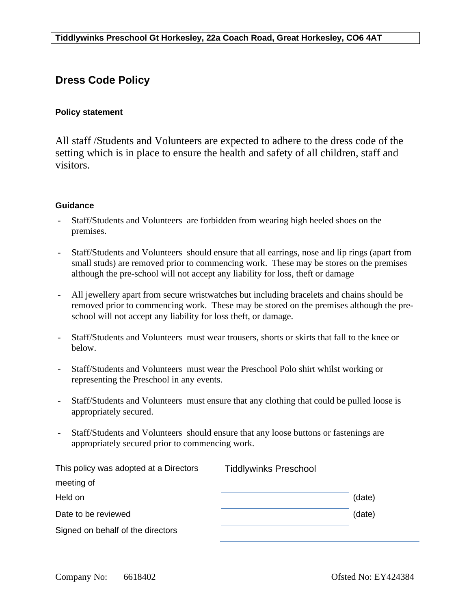## **Dress Code Policy**

## **Policy statement**

All staff /Students and Volunteers are expected to adhere to the dress code of the setting which is in place to ensure the health and safety of all children, staff and visitors.

## **Guidance**

- Staff/Students and Volunteers are forbidden from wearing high heeled shoes on the premises.
- Staff/Students and Volunteers should ensure that all earrings, nose and lip rings (apart from small studs) are removed prior to commencing work. These may be stores on the premises although the pre-school will not accept any liability for loss, theft or damage
- All jewellery apart from secure wristwatches but including bracelets and chains should be removed prior to commencing work. These may be stored on the premises although the preschool will not accept any liability for loss theft, or damage.
- Staff/Students and Volunteers must wear trousers, shorts or skirts that fall to the knee or below.
- Staff/Students and Volunteers must wear the Preschool Polo shirt whilst working or representing the Preschool in any events.
- Staff/Students and Volunteers must ensure that any clothing that could be pulled loose is appropriately secured.
- Staff/Students and Volunteers should ensure that any loose buttons or fastenings are appropriately secured prior to commencing work.

| This policy was adopted at a Directors | <b>Tiddlywinks Preschool</b> |        |
|----------------------------------------|------------------------------|--------|
| meeting of                             |                              |        |
| Held on                                |                              | (date) |
| Date to be reviewed                    |                              | (date) |
| Signed on behalf of the directors      |                              |        |